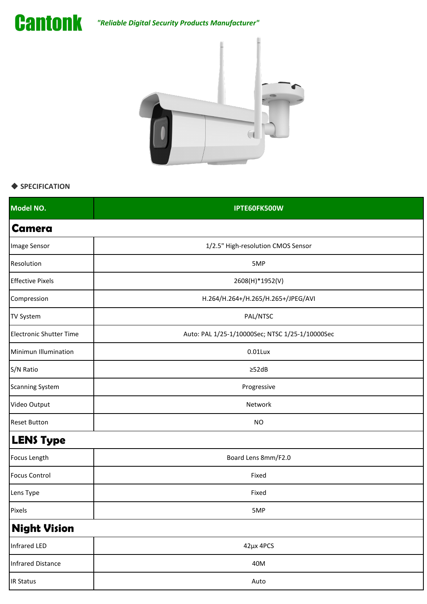

*"Reliable Digital Security Products Manufacturer"*



## ◆ **SPECIFICATION**

| Model NO.                      | IPTE60FK500W                                    |
|--------------------------------|-------------------------------------------------|
| <b>Camera</b>                  |                                                 |
| Image Sensor                   | 1/2.5" High-resolution CMOS Sensor              |
| Resolution                     | 5MP                                             |
| <b>Effective Pixels</b>        | 2608(H)*1952(V)                                 |
| Compression                    | H.264/H.264+/H.265/H.265+/JPEG/AVI              |
| <b>TV System</b>               | PAL/NTSC                                        |
| <b>Electronic Shutter Time</b> | Auto: PAL 1/25-1/10000Sec; NTSC 1/25-1/10000Sec |
| Minimun Illumination           | $0.01$ Lux                                      |
| S/N Ratio                      | $\geq$ 52dB                                     |
| <b>Scanning System</b>         | Progressive                                     |
| Video Output                   | Network                                         |
| <b>Reset Button</b>            | <b>NO</b>                                       |
| <b>LENS Type</b>               |                                                 |
| Focus Length                   | Board Lens 8mm/F2.0                             |
| <b>Focus Control</b>           | Fixed                                           |
| Lens Type                      | Fixed                                           |
| Pixels                         | 5MP                                             |
| <b>Night Vision</b>            |                                                 |
| Infrared LED                   | 42µx 4PCS                                       |
| <b>Infrared Distance</b>       | 40M                                             |
| <b>IR Status</b>               | Auto                                            |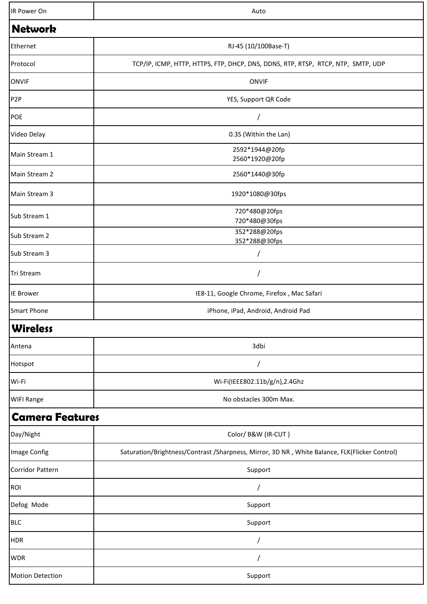| IR Power On             | Auto                                                                                          |
|-------------------------|-----------------------------------------------------------------------------------------------|
| <b>Network</b>          |                                                                                               |
| Ethernet                | RJ-45 (10/100Base-T)                                                                          |
| Protocol                | TCP/IP, ICMP, HTTP, HTTPS, FTP, DHCP, DNS, DDNS, RTP, RTSP, RTCP, NTP, SMTP, UDP              |
| <b>ONVIF</b>            | <b>ONVIF</b>                                                                                  |
| P <sub>2</sub> P        | YES, Support QR Code                                                                          |
| POE                     |                                                                                               |
| Video Delay             | 0.3S (Within the Lan)                                                                         |
| Main Stream 1           | 2592*1944@20fp<br>2560*1920@20fp                                                              |
| Main Stream 2           | 2560*1440@30fp                                                                                |
| Main Stream 3           | 1920*1080@30fps                                                                               |
| Sub Stream 1            | 720*480@20fps<br>720*480@30fps                                                                |
| Sub Stream 2            | 352*288@20fps<br>352*288@30fps                                                                |
| Sub Stream 3            |                                                                                               |
| Tri Stream              |                                                                                               |
| <b>IE Brower</b>        | IE8-11, Google Chrome, Firefox, Mac Safari                                                    |
| <b>Smart Phone</b>      | iPhone, iPad, Android, Android Pad                                                            |
| <b>Wireless</b>         |                                                                                               |
| Antena                  | 3dbi                                                                                          |
| Hotspot                 |                                                                                               |
| Wi-Fi                   | Wi-Fi(IEEE802.11b/g/n),2.4Ghz                                                                 |
| <b>WIFI Range</b>       | No obstacles 300m Max.                                                                        |
| <b>Camera Features</b>  |                                                                                               |
| Day/Night               | Color/ B&W (IR-CUT)                                                                           |
| Image Config            | Saturation/Brightness/Contrast /Sharpness, Mirror, 3D NR, White Balance, FLK(Flicker Control) |
| <b>Corridor Pattern</b> | Support                                                                                       |
| ROI                     |                                                                                               |
| Defog Mode              | Support                                                                                       |
| <b>BLC</b>              | Support                                                                                       |
| <b>HDR</b>              |                                                                                               |
| <b>WDR</b>              |                                                                                               |
| <b>Motion Detection</b> | Support                                                                                       |